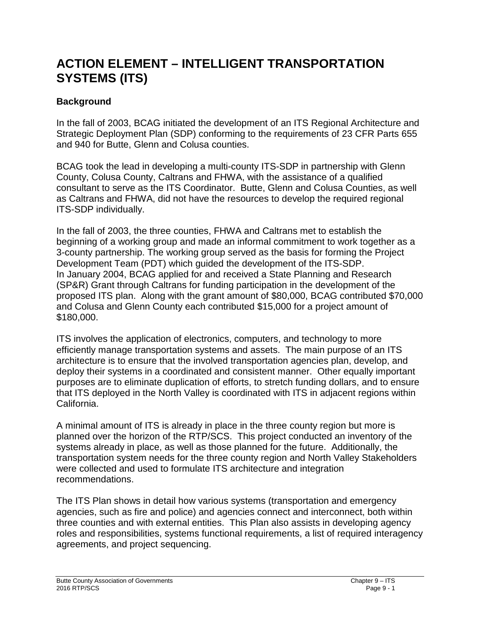# **ACTION ELEMENT – INTELLIGENT TRANSPORTATION SYSTEMS (ITS)**

## **Background**

In the fall of 2003, BCAG initiated the development of an ITS Regional Architecture and Strategic Deployment Plan (SDP) conforming to the requirements of 23 CFR Parts 655 and 940 for Butte, Glenn and Colusa counties.

BCAG took the lead in developing a multi-county ITS-SDP in partnership with Glenn County, Colusa County, Caltrans and FHWA, with the assistance of a qualified consultant to serve as the ITS Coordinator. Butte, Glenn and Colusa Counties, as well as Caltrans and FHWA, did not have the resources to develop the required regional ITS-SDP individually.

In the fall of 2003, the three counties, FHWA and Caltrans met to establish the beginning of a working group and made an informal commitment to work together as a 3-county partnership. The working group served as the basis for forming the Project Development Team (PDT) which guided the development of the ITS-SDP. In January 2004, BCAG applied for and received a State Planning and Research (SP&R) Grant through Caltrans for funding participation in the development of the proposed ITS plan. Along with the grant amount of \$80,000, BCAG contributed \$70,000 and Colusa and Glenn County each contributed \$15,000 for a project amount of \$180,000.

ITS involves the application of electronics, computers, and technology to more efficiently manage transportation systems and assets. The main purpose of an ITS architecture is to ensure that the involved transportation agencies plan, develop, and deploy their systems in a coordinated and consistent manner. Other equally important purposes are to eliminate duplication of efforts, to stretch funding dollars, and to ensure that ITS deployed in the North Valley is coordinated with ITS in adjacent regions within California.

A minimal amount of ITS is already in place in the three county region but more is planned over the horizon of the RTP/SCS. This project conducted an inventory of the systems already in place, as well as those planned for the future. Additionally, the transportation system needs for the three county region and North Valley Stakeholders were collected and used to formulate ITS architecture and integration recommendations.

The ITS Plan shows in detail how various systems (transportation and emergency agencies, such as fire and police) and agencies connect and interconnect, both within three counties and with external entities. This Plan also assists in developing agency roles and responsibilities, systems functional requirements, a list of required interagency agreements, and project sequencing.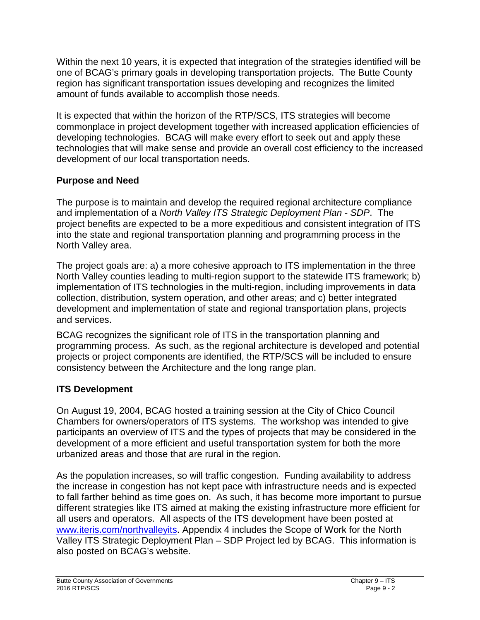Within the next 10 years, it is expected that integration of the strategies identified will be one of BCAG's primary goals in developing transportation projects. The Butte County region has significant transportation issues developing and recognizes the limited amount of funds available to accomplish those needs.

It is expected that within the horizon of the RTP/SCS, ITS strategies will become commonplace in project development together with increased application efficiencies of developing technologies. BCAG will make every effort to seek out and apply these technologies that will make sense and provide an overall cost efficiency to the increased development of our local transportation needs.

# **Purpose and Need**

The purpose is to maintain and develop the required regional architecture compliance and implementation of a *North Valley ITS Strategic Deployment Plan - SDP*. The project benefits are expected to be a more expeditious and consistent integration of ITS into the state and regional transportation planning and programming process in the North Valley area.

The project goals are: a) a more cohesive approach to ITS implementation in the three North Valley counties leading to multi-region support to the statewide ITS framework; b) implementation of ITS technologies in the multi-region, including improvements in data collection, distribution, system operation, and other areas; and c) better integrated development and implementation of state and regional transportation plans, projects and services.

BCAG recognizes the significant role of ITS in the transportation planning and programming process. As such, as the regional architecture is developed and potential projects or project components are identified, the RTP/SCS will be included to ensure consistency between the Architecture and the long range plan.

# **ITS Development**

On August 19, 2004, BCAG hosted a training session at the City of Chico Council Chambers for owners/operators of ITS systems. The workshop was intended to give participants an overview of ITS and the types of projects that may be considered in the development of a more efficient and useful transportation system for both the more urbanized areas and those that are rural in the region.

As the population increases, so will traffic congestion. Funding availability to address the increase in congestion has not kept pace with infrastructure needs and is expected to fall farther behind as time goes on. As such, it has become more important to pursue different strategies like ITS aimed at making the existing infrastructure more efficient for all users and operators. All aspects of the ITS development have been posted at [www.iteris.com/northvalleyits.](http://www.iteris.com/northvalleyits) Appendix 4 includes the Scope of Work for the North Valley ITS Strategic Deployment Plan – SDP Project led by BCAG. This information is also posted on BCAG's website.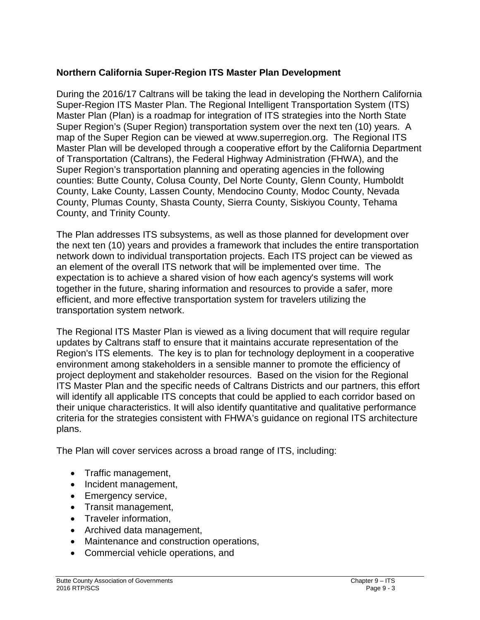#### **Northern California Super-Region ITS Master Plan Development**

During the 2016/17 Caltrans will be taking the lead in developing the Northern California Super-Region ITS Master Plan. The Regional Intelligent Transportation System (ITS) Master Plan (Plan) is a roadmap for integration of ITS strategies into the North State Super Region's (Super Region) transportation system over the next ten (10) years. A map of the Super Region can be viewed at www.superregion.org. The Regional ITS Master Plan will be developed through a cooperative effort by the California Department of Transportation (Caltrans), the Federal Highway Administration (FHWA), and the Super Region's transportation planning and operating agencies in the following counties: Butte County, Colusa County, Del Norte County, Glenn County, Humboldt County, Lake County, Lassen County, Mendocino County, Modoc County, Nevada County, Plumas County, Shasta County, Sierra County, Siskiyou County, Tehama County, and Trinity County.

The Plan addresses ITS subsystems, as well as those planned for development over the next ten (10) years and provides a framework that includes the entire transportation network down to individual transportation projects. Each ITS project can be viewed as an element of the overall ITS network that will be implemented over time. The expectation is to achieve a shared vision of how each agency's systems will work together in the future, sharing information and resources to provide a safer, more efficient, and more effective transportation system for travelers utilizing the transportation system network.

The Regional ITS Master Plan is viewed as a living document that will require regular updates by Caltrans staff to ensure that it maintains accurate representation of the Region's ITS elements. The key is to plan for technology deployment in a cooperative environment among stakeholders in a sensible manner to promote the efficiency of project deployment and stakeholder resources. Based on the vision for the Regional ITS Master Plan and the specific needs of Caltrans Districts and our partners, this effort will identify all applicable ITS concepts that could be applied to each corridor based on their unique characteristics. It will also identify quantitative and qualitative performance criteria for the strategies consistent with FHWA's guidance on regional ITS architecture plans.

The Plan will cover services across a broad range of ITS, including:

- Traffic management,
- Incident management,
- Emergency service,
- Transit management,
- Traveler information,
- Archived data management,
- Maintenance and construction operations,
- Commercial vehicle operations, and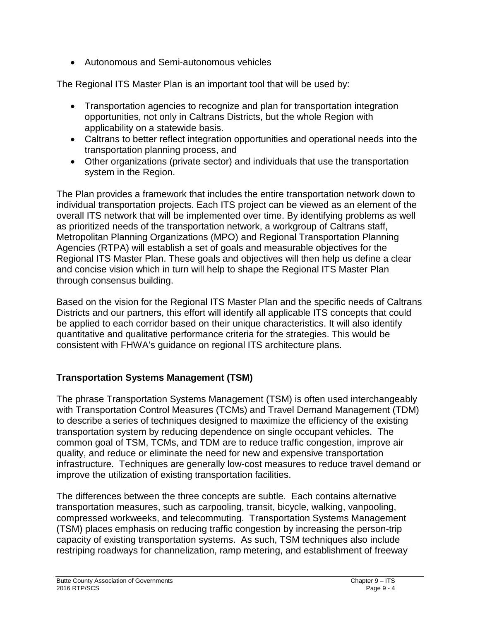• Autonomous and Semi-autonomous vehicles

The Regional ITS Master Plan is an important tool that will be used by:

- Transportation agencies to recognize and plan for transportation integration opportunities, not only in Caltrans Districts, but the whole Region with applicability on a statewide basis.
- Caltrans to better reflect integration opportunities and operational needs into the transportation planning process, and
- Other organizations (private sector) and individuals that use the transportation system in the Region.

The Plan provides a framework that includes the entire transportation network down to individual transportation projects. Each ITS project can be viewed as an element of the overall ITS network that will be implemented over time. By identifying problems as well as prioritized needs of the transportation network, a workgroup of Caltrans staff, Metropolitan Planning Organizations (MPO) and Regional Transportation Planning Agencies (RTPA) will establish a set of goals and measurable objectives for the Regional ITS Master Plan. These goals and objectives will then help us define a clear and concise vision which in turn will help to shape the Regional ITS Master Plan through consensus building.

Based on the vision for the Regional ITS Master Plan and the specific needs of Caltrans Districts and our partners, this effort will identify all applicable ITS concepts that could be applied to each corridor based on their unique characteristics. It will also identify quantitative and qualitative performance criteria for the strategies. This would be consistent with FHWA's guidance on regional ITS architecture plans.

## **Transportation Systems Management (TSM)**

The phrase Transportation Systems Management (TSM) is often used interchangeably with Transportation Control Measures (TCMs) and Travel Demand Management (TDM) to describe a series of techniques designed to maximize the efficiency of the existing transportation system by reducing dependence on single occupant vehicles. The common goal of TSM, TCMs, and TDM are to reduce traffic congestion, improve air quality, and reduce or eliminate the need for new and expensive transportation infrastructure. Techniques are generally low-cost measures to reduce travel demand or improve the utilization of existing transportation facilities.

The differences between the three concepts are subtle. Each contains alternative transportation measures, such as carpooling, transit, bicycle, walking, vanpooling, compressed workweeks, and telecommuting. Transportation Systems Management (TSM) places emphasis on reducing traffic congestion by increasing the person-trip capacity of existing transportation systems. As such, TSM techniques also include restriping roadways for channelization, ramp metering, and establishment of freeway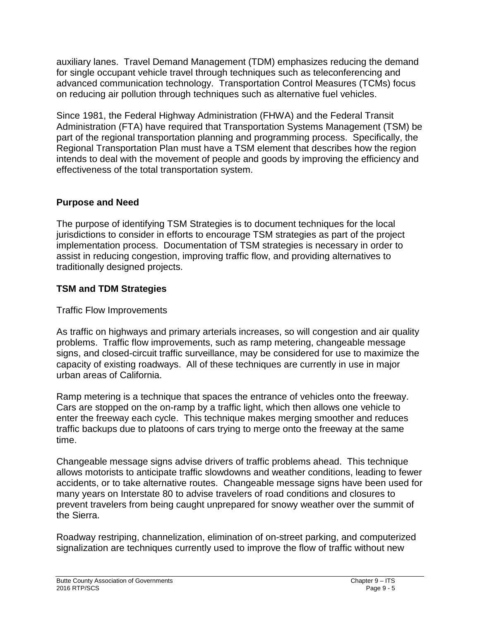auxiliary lanes. Travel Demand Management (TDM) emphasizes reducing the demand for single occupant vehicle travel through techniques such as teleconferencing and advanced communication technology. Transportation Control Measures (TCMs) focus on reducing air pollution through techniques such as alternative fuel vehicles.

Since 1981, the Federal Highway Administration (FHWA) and the Federal Transit Administration (FTA) have required that Transportation Systems Management (TSM) be part of the regional transportation planning and programming process. Specifically, the Regional Transportation Plan must have a TSM element that describes how the region intends to deal with the movement of people and goods by improving the efficiency and effectiveness of the total transportation system.

## **Purpose and Need**

The purpose of identifying TSM Strategies is to document techniques for the local jurisdictions to consider in efforts to encourage TSM strategies as part of the project implementation process. Documentation of TSM strategies is necessary in order to assist in reducing congestion, improving traffic flow, and providing alternatives to traditionally designed projects.

## **TSM and TDM Strategies**

## Traffic Flow Improvements

As traffic on highways and primary arterials increases, so will congestion and air quality problems. Traffic flow improvements, such as ramp metering, changeable message signs, and closed-circuit traffic surveillance, may be considered for use to maximize the capacity of existing roadways. All of these techniques are currently in use in major urban areas of California.

Ramp metering is a technique that spaces the entrance of vehicles onto the freeway. Cars are stopped on the on-ramp by a traffic light, which then allows one vehicle to enter the freeway each cycle. This technique makes merging smoother and reduces traffic backups due to platoons of cars trying to merge onto the freeway at the same time.

Changeable message signs advise drivers of traffic problems ahead. This technique allows motorists to anticipate traffic slowdowns and weather conditions, leading to fewer accidents, or to take alternative routes. Changeable message signs have been used for many years on Interstate 80 to advise travelers of road conditions and closures to prevent travelers from being caught unprepared for snowy weather over the summit of the Sierra.

Roadway restriping, channelization, elimination of on-street parking, and computerized signalization are techniques currently used to improve the flow of traffic without new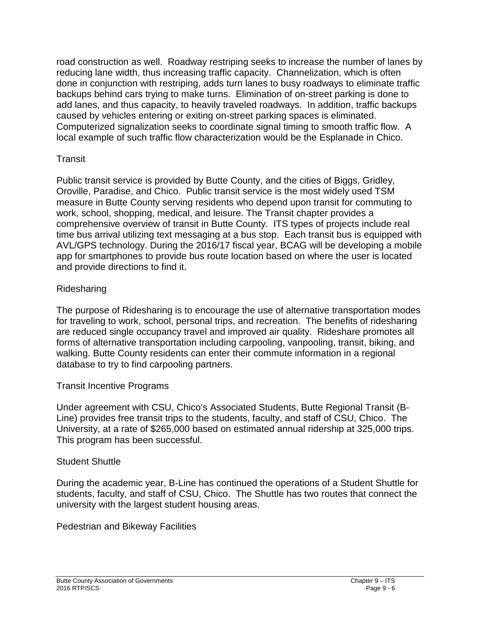road construction as well. Roadway restriping seeks to increase the number of lanes by reducing lane width, thus increasing traffic capacity. Channelization, which is often done in conjunction with restriping, adds turn lanes to busy roadways to eliminate traffic backups behind cars trying to make turns. Elimination of on-street parking is done to add lanes, and thus capacity, to heavily traveled roadways. In addition, traffic backups caused by vehicles entering or exiting on-street parking spaces is eliminated. Computerized signalization seeks to coordinate signal timing to smooth traffic flow. A local example of such traffic flow characterization would be the Esplanade in Chico.

#### **Transit**

Public transit service is provided by Butte County, and the cities of Biggs, Gridley, Oroville, Paradise, and Chico. Public transit service is the most widely used TSM measure in Butte County serving residents who depend upon transit for commuting to work, school, shopping, medical, and leisure. The Transit chapter provides a comprehensive overview of transit in Butte County. ITS types of projects include real time bus arrival utilizing text messaging at a bus stop. Each transit bus is equipped with AVL/GPS technology. During the 2016/17 fiscal year, BCAG will be developing a mobile app for smartphones to provide bus route location based on where the user is located and provide directions to find it.

## Ridesharing

The purpose of Ridesharing is to encourage the use of alternative transportation modes for traveling to work, school, personal trips, and recreation. The benefits of ridesharing are reduced single occupancy travel and improved air quality. Rideshare promotes all forms of alternative transportation including carpooling, vanpooling, transit, biking, and walking. Butte County residents can enter their commute information in a regional database to try to find carpooling partners.

## Transit Incentive Programs

Under agreement with CSU, Chico's Associated Students, Butte Regional Transit (B-Line) provides free transit trips to the students, faculty, and staff of CSU, Chico. The University, at a rate of \$265,000 based on estimated annual ridership at 325,000 trips. This program has been successful.

## Student Shuttle

During the academic year, B-Line has continued the operations of a Student Shuttle for students, faculty, and staff of CSU, Chico. The Shuttle has two routes that connect the university with the largest student housing areas.

Pedestrian and Bikeway Facilities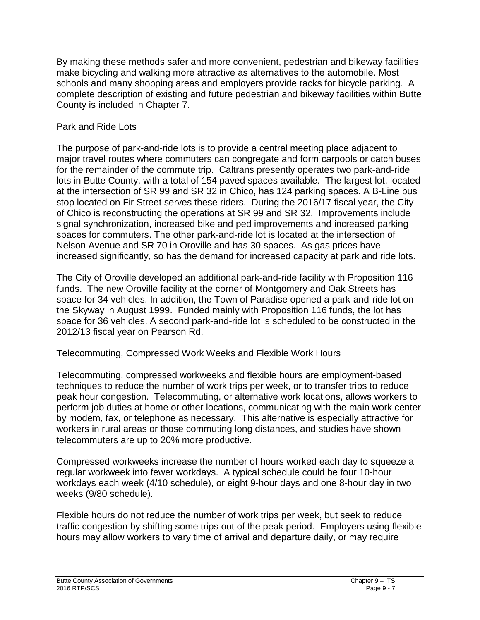By making these methods safer and more convenient, pedestrian and bikeway facilities make bicycling and walking more attractive as alternatives to the automobile. Most schools and many shopping areas and employers provide racks for bicycle parking. A complete description of existing and future pedestrian and bikeway facilities within Butte County is included in Chapter 7.

#### Park and Ride Lots

The purpose of park-and-ride lots is to provide a central meeting place adjacent to major travel routes where commuters can congregate and form carpools or catch buses for the remainder of the commute trip. Caltrans presently operates two park-and-ride lots in Butte County, with a total of 154 paved spaces available. The largest lot, located at the intersection of SR 99 and SR 32 in Chico, has 124 parking spaces. A B-Line bus stop located on Fir Street serves these riders. During the 2016/17 fiscal year, the City of Chico is reconstructing the operations at SR 99 and SR 32. Improvements include signal synchronization, increased bike and ped improvements and increased parking spaces for commuters. The other park-and-ride lot is located at the intersection of Nelson Avenue and SR 70 in Oroville and has 30 spaces. As gas prices have increased significantly, so has the demand for increased capacity at park and ride lots.

The City of Oroville developed an additional park-and-ride facility with Proposition 116 funds. The new Oroville facility at the corner of Montgomery and Oak Streets has space for 34 vehicles. In addition, the Town of Paradise opened a park-and-ride lot on the Skyway in August 1999. Funded mainly with Proposition 116 funds, the lot has space for 36 vehicles. A second park-and-ride lot is scheduled to be constructed in the 2012/13 fiscal year on Pearson Rd.

Telecommuting, Compressed Work Weeks and Flexible Work Hours

Telecommuting, compressed workweeks and flexible hours are employment-based techniques to reduce the number of work trips per week, or to transfer trips to reduce peak hour congestion. Telecommuting, or alternative work locations, allows workers to perform job duties at home or other locations, communicating with the main work center by modem, fax, or telephone as necessary. This alternative is especially attractive for workers in rural areas or those commuting long distances, and studies have shown telecommuters are up to 20% more productive.

Compressed workweeks increase the number of hours worked each day to squeeze a regular workweek into fewer workdays. A typical schedule could be four 10-hour workdays each week (4/10 schedule), or eight 9-hour days and one 8-hour day in two weeks (9/80 schedule).

Flexible hours do not reduce the number of work trips per week, but seek to reduce traffic congestion by shifting some trips out of the peak period. Employers using flexible hours may allow workers to vary time of arrival and departure daily, or may require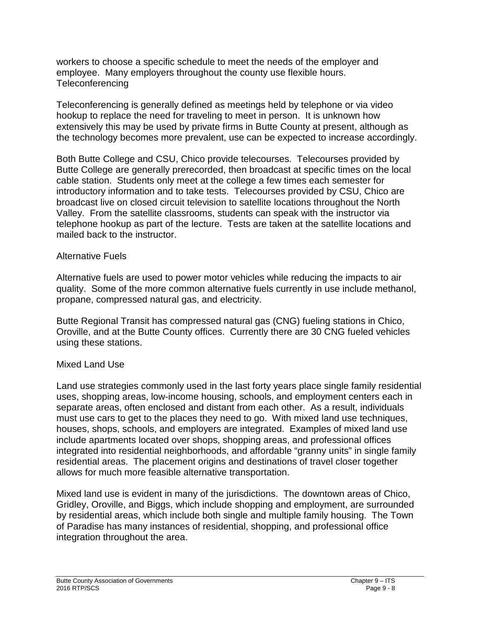workers to choose a specific schedule to meet the needs of the employer and employee. Many employers throughout the county use flexible hours. Teleconferencing

Teleconferencing is generally defined as meetings held by telephone or via video hookup to replace the need for traveling to meet in person. It is unknown how extensively this may be used by private firms in Butte County at present, although as the technology becomes more prevalent, use can be expected to increase accordingly.

Both Butte College and CSU, Chico provide telecourses. Telecourses provided by Butte College are generally prerecorded, then broadcast at specific times on the local cable station. Students only meet at the college a few times each semester for introductory information and to take tests. Telecourses provided by CSU, Chico are broadcast live on closed circuit television to satellite locations throughout the North Valley. From the satellite classrooms, students can speak with the instructor via telephone hookup as part of the lecture. Tests are taken at the satellite locations and mailed back to the instructor.

#### Alternative Fuels

Alternative fuels are used to power motor vehicles while reducing the impacts to air quality. Some of the more common alternative fuels currently in use include methanol, propane, compressed natural gas, and electricity.

Butte Regional Transit has compressed natural gas (CNG) fueling stations in Chico, Oroville, and at the Butte County offices. Currently there are 30 CNG fueled vehicles using these stations.

#### Mixed Land Use

Land use strategies commonly used in the last forty years place single family residential uses, shopping areas, low-income housing, schools, and employment centers each in separate areas, often enclosed and distant from each other. As a result, individuals must use cars to get to the places they need to go. With mixed land use techniques, houses, shops, schools, and employers are integrated. Examples of mixed land use include apartments located over shops, shopping areas, and professional offices integrated into residential neighborhoods, and affordable "granny units" in single family residential areas. The placement origins and destinations of travel closer together allows for much more feasible alternative transportation.

Mixed land use is evident in many of the jurisdictions. The downtown areas of Chico, Gridley, Oroville, and Biggs, which include shopping and employment, are surrounded by residential areas, which include both single and multiple family housing. The Town of Paradise has many instances of residential, shopping, and professional office integration throughout the area.